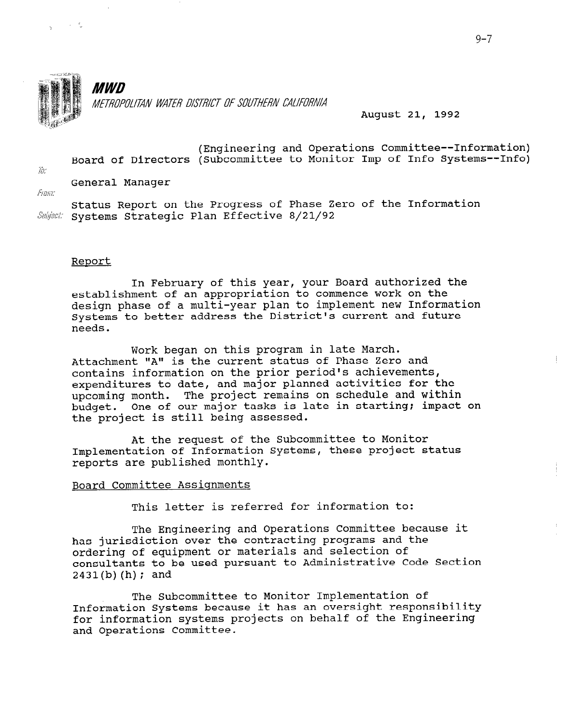

 $\mathcal{L}=\mathcal{L}^{\mathcal{L}}\oplus\mathcal{L}^{\mathcal{L}}$ 

**MWD** METROPOLITAN WATER DISTRICT OF SOUTHERN CALIFORNIA

August 21, 1992

(Engineering and Operations Committee--Information) Board of Directors (Subcommittee to Monitor Imp of Info Systems--Info)

 $/$ . General Manager

151 Qjj,T,"

Status Report on the Progress of Phase Zero of the Information<br>Subject: Systems Strategic Plan Effective 8/21/92

# Report

In February of this year, your Board authorized the establishment of an appropriation to commence work on the design phase of a multi-year plan to implement new Information Systems to better address the District's current and future needs.

Work began on this program in late March. Attachment "A" is the current status of Phase Zero and contains information on the prior period's achievements, expenditures to date, and major planned activities for the upcoming month. The project remains on schedule and within budget. One of our major tasks is late in starting; impact on the project is still being assessed.

At the request of the Subcommittee to Monitor Implementation of Information Systems, these project status reports are published monthly.

# Board Committee Assiqnments

This letter is referred for information to:

The Engineering and Operations Committee because it has jurisdiction over the contracting programs and the ordering of equipment or materials and selection of consultants to be used pursuant to Administrative Code Section  $2431(b)$  (h); and

The Subcommittee to Monitor Implementation of Information Systems because it has an oversight responsibility for information systems because it has an oversigne responsible and Operations Committee.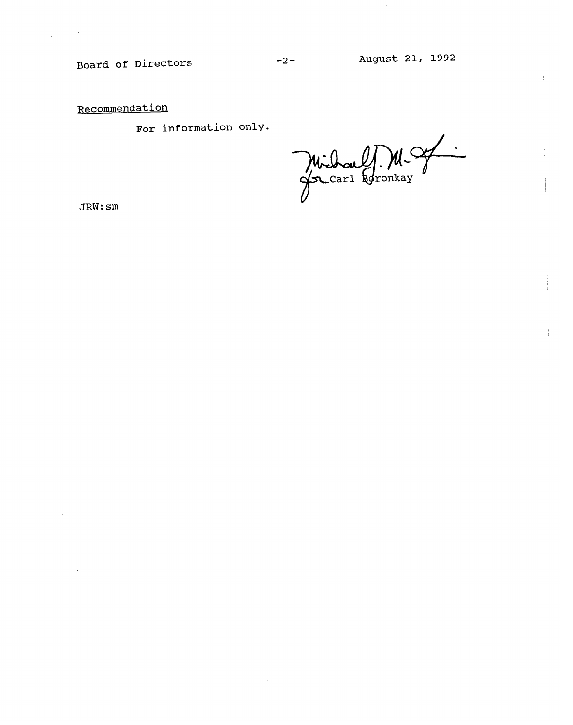Board of Directors

 $\mathcal{A}^{\mathcal{A}}$ 

-2- August 21, 1992

 $\pm$ 

Recommendation

For information only.

Michael M. M.

JRW:sm

 $\mathcal{L}$ 

 $\label{eq:2.1} \frac{1}{\sigma_{\rm{e}}}\left(\frac{1}{\sigma_{\rm{e}}}\right)^{2} \frac{1}{\sigma_{\rm{e}}}\left(\frac{1}{\sigma_{\rm{e}}}\right)^{2}$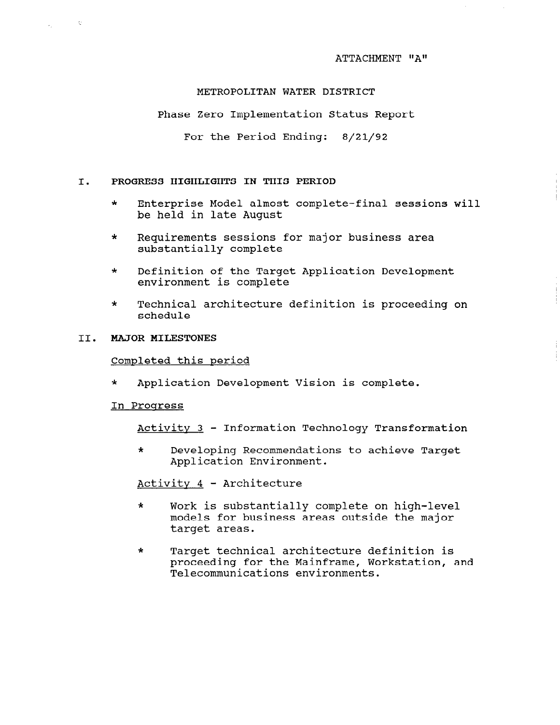# METROPOLITAN WATER DISTRICT

Phase Zero Implementation Status Report

For the Period Ending: 8/21/92

# I. PROGRESS HIGHLIGHTS IN THIS PERIOD

- \* Enterprise Model almost complete-final sessions will be held in late August
- \* Requirements sessions for major business area substantially complete
- \* Definition of the Target Application Development environment is complete
- \* Technical architecture definition is proceeding on schedule

# II. MAJOR MILESTONES

i i c

 $\omega_{\rm{eff}}=0.1$ 

# Completed this period

\* Application Development Vision is complete.

#### In Proqress

Activitv 3 - Information Technology Transformation

\* Developing Recommendations to achieve Target Application Environment.

Activitv 4 - Architecture

- \* Work is substantially complete on high-level models for business areas outside the major target areas.
- \* Target technical architecture definition is proceeding for the Mainframe, Workstation, and Telecommunications environments.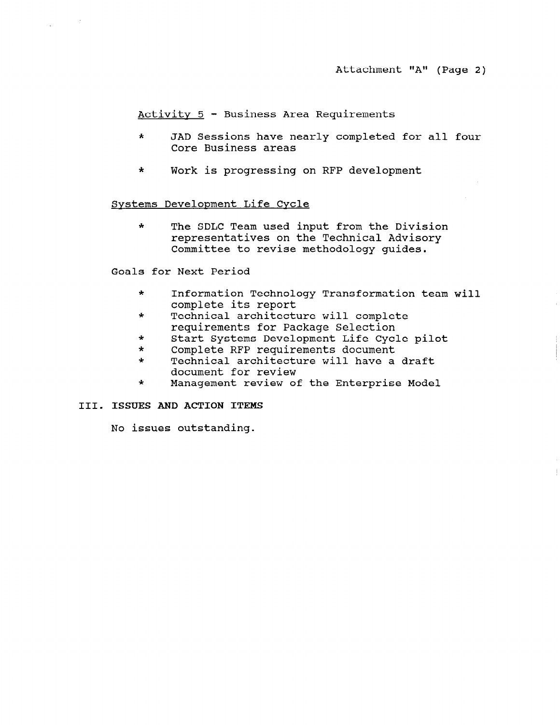Activitv 5 - Business Area Requirements

- \* JAD Sessions have nearly completed for all four Core Business areas
- \* Work is progressing on RFP development

## Svstems Develonment Life Cvcle

\* The SDLC Team used input from the Division representatives on the Technical Advisory Committee to revise methodology guides.

Goals for Next Period

- \* Information Technology Transformation team will complete its report
- \* Technical architecture will complete requirements for Package Selection
- \* Start Systems Development Life Cycle pilot
- \* Complete RFP requirements document
- \* Technical architecture will have a draft document for review
- \* Management review of the Enterprise Model

# III. ISSUES AND ACTION ITEMS

No issues outstanding.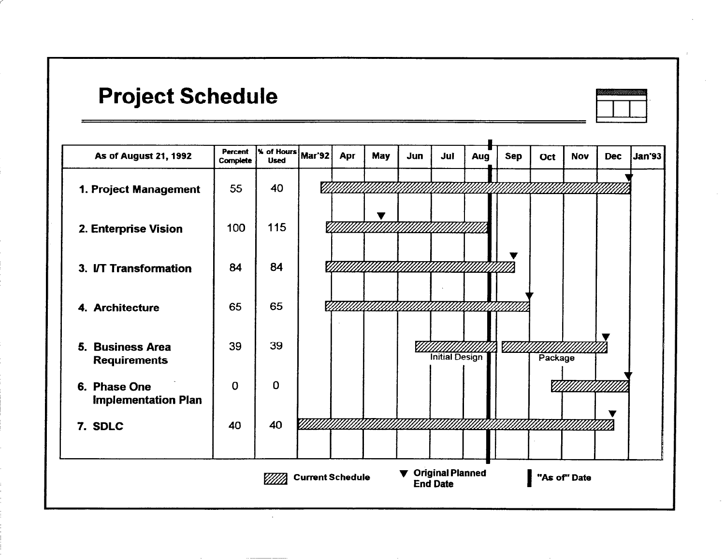# Project Schedule



| <b>As of August 21, 1992</b>               | Percent<br>Complete | $\overline{\phantom{a}}$ of Hours $\overline{\phantom{a}}$ Mar'92<br><b>Used</b> |                         | Apr | <b>May</b> | Jun | Jul                                   | Aug | <b>Sep</b> | Oct     | <b>Nov</b>   | <b>Dec</b> | <b>Jan'93</b> |
|--------------------------------------------|---------------------|----------------------------------------------------------------------------------|-------------------------|-----|------------|-----|---------------------------------------|-----|------------|---------|--------------|------------|---------------|
| 1. Project Management                      | 55                  | 40                                                                               | V)                      |     |            |     |                                       |     |            |         |              |            |               |
| 2. Enterprise Vision                       | 100                 | 115                                                                              |                         |     | v          |     |                                       |     |            |         |              |            |               |
| 3. I/T Transformation                      | 84                  | 84                                                                               |                         |     |            |     |                                       |     |            |         |              |            |               |
| 4. Architecture                            | 65                  | 65                                                                               |                         |     |            |     |                                       |     |            |         |              |            |               |
| 5. Business Area<br><b>Requirements</b>    | 39                  | 39                                                                               |                         |     |            |     | <b>Initial Design</b>                 |     | 77.        | Package |              |            |               |
| 6. Phase One<br><b>Implementation Plan</b> | $\mathbf 0$         | 0                                                                                |                         |     |            |     |                                       |     |            |         | ////         |            |               |
| 7. SDLC                                    | 40                  | 40                                                                               |                         |     |            |     |                                       |     |            |         |              | v          |               |
|                                            |                     |                                                                                  | <b>Current Schedule</b> |     |            |     | ▼ Original Planned<br><b>End Date</b> |     |            |         | "As of" Date |            |               |